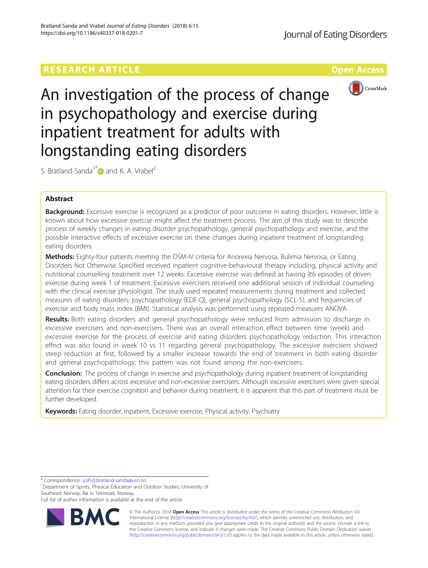# **RESEARCH ARTICLE Example 2014 12:30 The Contract of Contract ACCESS Open Access**



An investigation of the process of change in psychopathology and exercise during inpatient treatment for adults with longstanding eating disorders

S. Bratland-Sanda<sup>1\*</sup> and K. A. Vrabel<sup>2</sup>

# Abstract

Background: Excessive exercise is recognized as a predictor of poor outcome in eating disorders. However, little is known about how excessive exercise might affect the treatment process. The aim of this study was to describe process of weekly changes in eating disorder psychopathology, general psychopathology and exercise, and the possible interactive effects of excessive exercise on these changes during inpatient treatment of longstanding eating disorders.

Methods: Eighty-four patients meeting the DSM-IV criteria for Anorexia Nervosa, Bulimia Nervosa, or Eating Disorders Not Otherwise Specified received inpatient cognitive-behavioural therapy including, physical activity and nutritional counselling treatment over 12 weeks. Excessive exercise was defined as having ≥6 episodes of driven exercise during week 1 of treatment. Excessive exercisers received one additional session of individual counseling with the clinical exercise physiologist. The study used repeated measurements during treatment and collected measures of eating disorders: psychopathology (EDE-Q), general psychopathology (SCL-5), and frequencies of exercise and body mass index (BMI). Statistical analysis was performed using repeated measures ANOVA.

**Results:** Both eating disorders and general psychopathology were reduced from admission to discharge in excessive exercisers and non-exercisers. There was an overall interaction effect between time (week) and excessive exercise for the process of exercise and eating disorders psychopathology reduction. This interaction effect was also found in week 10 vs 11 regarding general psychopathology. The excessive exercisers showed steep reduction at first, followed by a smaller increase towards the end of treatment in both eating disorder and general psychopathology; this pattern was not found among the non-exercisers.

**Conclusion:** The process of change in exercise and psychopathology during inpatient treatment of longstanding eating disorders differs across excessive and non-excessive exercisers. Although excessive exercisers were given special attention for their exercise cognition and behavior during treatment, it is apparent that this part of treatment must be further developed.

Keywords: Eating disorder, Inpatient, Excessive exercise, Physical activity, Psychiatry

\* Correspondence: [solfrid.bratland-sanda@usn.no](mailto:solfrid.bratland-sanda@usn.no) <sup>1</sup>

<sup>1</sup>Department of Sports, Physical Education and Outdoor Studies, University of Southeast Norway, Bø in Telemark, Norway

Full list of author information is available at the end of the article



© The Author(s). 2018 Open Access This article is distributed under the terms of the Creative Commons Attribution 4.0 International License [\(http://creativecommons.org/licenses/by/4.0/](http://creativecommons.org/licenses/by/4.0/)), which permits unrestricted use, distribution, and reproduction in any medium, provided you give appropriate credit to the original author(s) and the source, provide a link to the Creative Commons license, and indicate if changes were made. The Creative Commons Public Domain Dedication waiver [\(http://creativecommons.org/publicdomain/zero/1.0/](http://creativecommons.org/publicdomain/zero/1.0/)) applies to the data made available in this article, unless otherwise stated.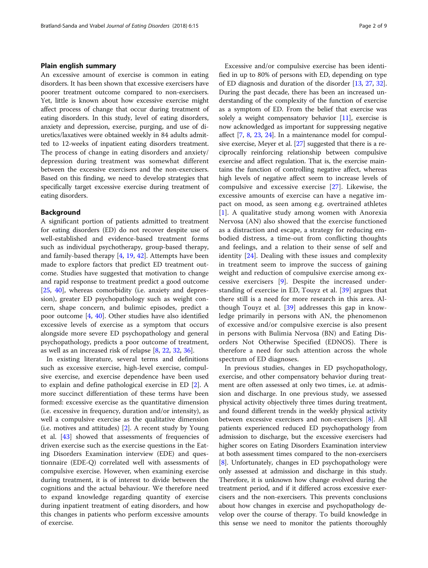# Plain english summary

An excessive amount of exercise is common in eating disorders. It has been shown that excessive exercisers have poorer treatment outcome compared to non-exercisers. Yet, little is known about how excessive exercise might affect process of change that occur during treatment of eating disorders. In this study, level of eating disorders, anxiety and depression, exercise, purging, and use of diuretics/laxatives were obtained weekly in 84 adults admitted to 12-weeks of inpatient eating disorders treatment. The process of change in eating disorders and anxiety/ depression during treatment was somewhat different between the excessive exercisers and the non-exercisers. Based on this finding, we need to develop strategies that specifically target excessive exercise during treatment of eating disorders.

# Background

A significant portion of patients admitted to treatment for eating disorders (ED) do not recover despite use of well-established and evidence-based treatment forms such as individual psychotherapy, group-based therapy, and family-based therapy [[4,](#page-7-0) [19,](#page-8-0) [42](#page-8-0)]. Attempts have been made to explore factors that predict ED treatment outcome. Studies have suggested that motivation to change and rapid response to treatment predict a good outcome [[25,](#page-8-0) [40](#page-8-0)], whereas comorbidity (i.e. anxiety and depression), greater ED psychopathology such as weight concern, shape concern, and bulimic episodes, predict a poor outcome [[4,](#page-7-0) [40](#page-8-0)]. Other studies have also identified excessive levels of exercise as a symptom that occurs alongside more severe ED psychopathology and general psychopathology, predicts a poor outcome of treatment, as well as an increased risk of relapse [[8,](#page-7-0) [22,](#page-8-0) [32,](#page-8-0) [36](#page-8-0)].

In existing literature, several terms and definitions such as excessive exercise, high-level exercise, compulsive exercise, and exercise dependence have been used to explain and define pathological exercise in ED [[2\]](#page-7-0). A more succinct differentiation of these terms have been formed: excessive exercise as the quantitative dimension (i.e. excessive in frequency, duration and/or intensity), as well a compulsive exercise as the qualitative dimension (i.e. motives and attitudes) [[2\]](#page-7-0). A recent study by Young et al. [\[43](#page-8-0)] showed that assessments of frequencies of driven exercise such as the exercise questions in the Eating Disorders Examination interview (EDE) and questionnaire (EDE-Q) correlated well with assessments of compulsive exercise. However, when examining exercise during treatment, it is of interest to divide between the cognitions and the actual behaviour. We therefore need to expand knowledge regarding quantity of exercise during inpatient treatment of eating disorders, and how this changes in patients who perform excessive amounts of exercise.

Excessive and/or compulsive exercise has been identified in up to 80% of persons with ED, depending on type of ED diagnosis and duration of the disorder [[13](#page-7-0), [27](#page-8-0), [32](#page-8-0)]. During the past decade, there has been an increased understanding of the complexity of the function of exercise as a symptom of ED. From the belief that exercise was solely a weight compensatory behavior [\[11\]](#page-7-0), exercise is now acknowledged as important for suppressing negative affect [[7,](#page-7-0) [8](#page-7-0), [23](#page-8-0), [24](#page-8-0)]. In a maintenance model for compulsive exercise, Meyer et al. [\[27\]](#page-8-0) suggested that there is a reciprocally reinforcing relationship between compulsive exercise and affect regulation. That is, the exercise maintains the function of controlling negative affect, whereas high levels of negative affect seem to increase levels of compulsive and excessive exercise [[27\]](#page-8-0). Likewise, the excessive amounts of exercise can have a negative impact on mood, as seen among e.g. overtrained athletes [[1\]](#page-7-0). A qualitative study among women with Anorexia Nervosa (AN) also showed that the exercise functioned as a distraction and escape, a strategy for reducing embodied distress, a time-out from conflicting thoughts and feelings, and a relation to their sense of self and identity [\[24](#page-8-0)]. Dealing with these issues and complexity in treatment seem to improve the success of gaining weight and reduction of compulsive exercise among excessive exercisers [\[9](#page-7-0)]. Despite the increased understanding of exercise in ED, Touyz et al. [[39\]](#page-8-0) argues that there still is a need for more research in this area. Although Touyz et al. [\[39\]](#page-8-0) addresses this gap in knowledge primarily in persons with AN, the phenomenon of excessive and/or compulsive exercise is also present in persons with Bulimia Nervosa (BN) and Eating Disorders Not Otherwise Specified (EDNOS). There is therefore a need for such attention across the whole spectrum of ED diagnoses.

In previous studies, changes in ED psychopathology, exercise, and other compensatory behavior during treatment are often assessed at only two times, i.e. at admission and discharge. In one previous study, we assessed physical activity objectively three times during treatment, and found different trends in the weekly physical activity between excessive exercisers and non-exercisers [\[8\]](#page-7-0). All patients experienced reduced ED psychopathology from admission to discharge, but the excessive exercisers had higher scores on Eating Disorders Examination interview at both assessment times compared to the non-exercisers [[8\]](#page-7-0). Unfortunately, changes in ED psychopathology were only assessed at admission and discharge in this study. Therefore, it is unknown how change evolved during the treatment period, and if it differed across excessive exercisers and the non-exercisers. This prevents conclusions about how changes in exercise and psychopathology develop over the course of therapy. To build knowledge in this sense we need to monitor the patients thoroughly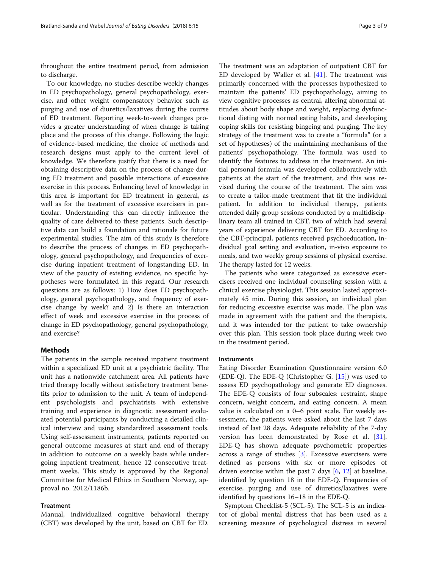throughout the entire treatment period, from admission to discharge.

To our knowledge, no studies describe weekly changes in ED psychopathology, general psychopathology, exercise, and other weight compensatory behavior such as purging and use of diuretics/laxatives during the course of ED treatment. Reporting week-to-week changes provides a greater understanding of when change is taking place and the process of this change. Following the logic of evidence-based medicine, the choice of methods and research designs must apply to the current level of knowledge. We therefore justify that there is a need for obtaining descriptive data on the process of change during ED treatment and possible interactions of excessive exercise in this process. Enhancing level of knowledge in this area is important for ED treatment in general, as well as for the treatment of excessive exercisers in particular. Understanding this can directly influence the quality of care delivered to these patients. Such descriptive data can build a foundation and rationale for future experimental studies. The aim of this study is therefore to describe the process of changes in ED psychopathology, general psychopathology, and frequencies of exercise during inpatient treatment of longstanding ED. In view of the paucity of existing evidence, no specific hypotheses were formulated in this regard. Our research questions are as follows: 1) How does ED psychopathology, general psychopathology, and frequency of exercise change by week? and 2) Is there an interaction effect of week and excessive exercise in the process of change in ED psychopathology, general psychopathology, and exercise?

# **Methods**

The patients in the sample received inpatient treatment within a specialized ED unit at a psychiatric facility. The unit has a nationwide catchment area. All patients have tried therapy locally without satisfactory treatment benefits prior to admission to the unit. A team of independent psychologists and psychiatrists with extensive training and experience in diagnostic assessment evaluated potential participants by conducting a detailed clinical interview and using standardized assessment tools. Using self-assessment instruments, patients reported on general outcome measures at start and end of therapy in addition to outcome on a weekly basis while undergoing inpatient treatment, hence 12 consecutive treatment weeks. This study is approved by the Regional Committee for Medical Ethics in Southern Norway, approval no. 2012/1186b.

# **Treatment**

Manual, individualized cognitive behavioral therapy (CBT) was developed by the unit, based on CBT for ED.

The treatment was an adaptation of outpatient CBT for ED developed by Waller et al. [[41\]](#page-8-0). The treatment was primarily concerned with the processes hypothesized to maintain the patients' ED psychopathology, aiming to view cognitive processes as central, altering abnormal attitudes about body shape and weight, replacing dysfunctional dieting with normal eating habits, and developing coping skills for resisting bingeing and purging. The key strategy of the treatment was to create a "formula" (or a set of hypotheses) of the maintaining mechanisms of the patients' psychopathology. The formula was used to identify the features to address in the treatment. An initial personal formula was developed collaboratively with patients at the start of the treatment, and this was revised during the course of the treatment. The aim was to create a tailor-made treatment that fit the individual patient. In addition to individual therapy, patients attended daily group sessions conducted by a multidisciplinary team all trained in CBT, two of which had several years of experience delivering CBT for ED. According to the CBT-principal, patients received psychoeducation, individual goal setting and evaluation, in-vivo exposure to meals, and two weekly group sessions of physical exercise. The therapy lasted for 12 weeks.

The patients who were categorized as excessive exercisers received one individual counseling session with a clinical exercise physiologist. This session lasted approximately 45 min. During this session, an individual plan for reducing excessive exercise was made. The plan was made in agreement with the patient and the therapists, and it was intended for the patient to take ownership over this plan. This session took place during week two in the treatment period.

# Instruments

Eating Disorder Examination Questionnaire version 6.0 (EDE-Q). The EDE-Q (Christopher G.  $[15]$ ) was used to assess ED psychopathology and generate ED diagnoses. The EDE-Q consists of four subscales: restraint, shape concern, weight concern, and eating concern. A mean value is calculated on a 0–6 point scale. For weekly assessment, the patients were asked about the last 7 days instead of last 28 days. Adequate reliability of the 7-day version has been demonstrated by Rose et al. [\[31](#page-8-0)]. EDE-Q has shown adequate psychometric properties across a range of studies [\[3\]](#page-7-0). Excessive exercisers were defined as persons with six or more episodes of driven exercise within the past 7 days [[6,](#page-7-0) [12\]](#page-7-0) at baseline, identified by question 18 in the EDE-Q. Frequencies of exercise, purging and use of diuretics/laxatives were identified by questions 16–18 in the EDE-Q.

Symptom Checklist-5 (SCL-5). The SCL-5 is an indicator of global mental distress that has been used as a screening measure of psychological distress in several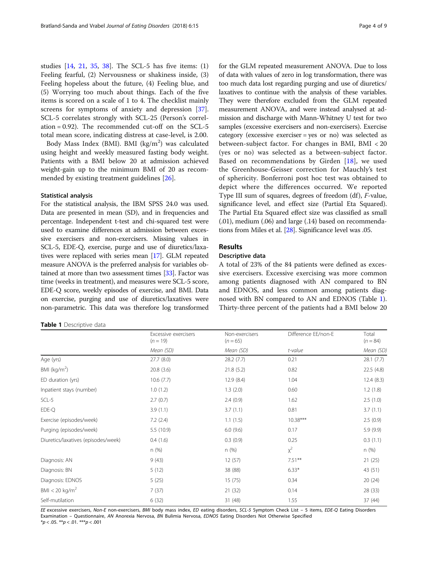<span id="page-3-0"></span>studies [[14,](#page-7-0) [21](#page-8-0), [35,](#page-8-0) [38](#page-8-0)]. The SCL-5 has five items: (1) Feeling fearful, (2) Nervousness or shakiness inside, (3) Feeling hopeless about the future, (4) Feeling blue, and (5) Worrying too much about things. Each of the five items is scored on a scale of 1 to 4. The checklist mainly screens for symptoms of anxiety and depression [\[37](#page-8-0)]. SCL-5 correlates strongly with SCL-25 (Person's correlation = 0.92). The recommended cut-off on the SCL-5 total mean score, indicating distress at case-level, is 2.00.

Body Mass Index (BMI). BMI (kg/m<sup>2</sup>) was calculated using height and weekly measured fasting body weight. Patients with a BMI below 20 at admission achieved weight-gain up to the minimum BMI of 20 as recommended by existing treatment guidelines [\[26](#page-8-0)].

# Statistical analysis

For the statistical analysis, the IBM SPSS 24.0 was used. Data are presented in mean (SD), and in frequencies and percentage. Independent t-test and chi-squared test were used to examine differences at admission between excessive exercisers and non-exercisers. Missing values in SCL-5, EDE-Q, exercise, purge and use of diuretics/laxatives were replaced with series mean [\[17](#page-8-0)]. GLM repeated measure ANOVA is the preferred analysis for variables obtained at more than two assessment times [\[33\]](#page-8-0). Factor was time (weeks in treatment), and measures were SCL-5 score, EDE-Q score, weekly episodes of exercise, and BMI. Data on exercise, purging and use of diuretics/laxatives were non-parametric. This data was therefore log transformed

# Table 1 Descriptive data

for the GLM repeated measurement ANOVA. Due to loss of data with values of zero in log transformation, there was too much data lost regarding purging and use of diuretics/ laxatives to continue with the analysis of these variables. They were therefore excluded from the GLM repeated measurement ANOVA, and were instead analysed at admission and discharge with Mann-Whitney U test for two samples (excessive exercisers and non-exercisers). Exercise category (excessive exerciser = yes or no) was selected as between-subject factor. For changes in BMI, BMI < 20 (yes or no) was selected as a between-subject factor. Based on recommendations by Girden [\[18](#page-8-0)], we used the Greenhouse-Geisser correction for Mauchly's test of sphericity. Bonferroni post hoc test was obtained to depict where the differences occurred. We reported Type III sum of squares, degrees of freedom (df), F-value, significance level, and effect size (Partial Eta Squared). The Partial Eta Squared effect size was classified as small (.01), medium (.06) and large (.14) based on recommendations from Miles et al. [\[28\]](#page-8-0). Significance level was .05.

# Results

# Descriptive data

A total of 23% of the 84 patients were defined as excessive exercisers. Excessive exercising was more common among patients diagnosed with AN compared to BN and EDNOS, and less common among patients diagnosed with BN compared to AN and EDNOS (Table 1). Thirty-three percent of the patients had a BMI below 20

|                                     | Excessive exercisers<br>$(n = 19)$ | Non-exercisers<br>$(n = 65)$ | Difference EE/non-E | Total<br>$(n = 84)$<br>Mean (SD) |  |
|-------------------------------------|------------------------------------|------------------------------|---------------------|----------------------------------|--|
|                                     | Mean (SD)                          | Mean (SD)                    | t-value             |                                  |  |
| Age (yrs)                           | 27.7(8.0)                          | 28.2(7.7)                    | 0.21                | 28.1(7.7)                        |  |
| BMI ( $kg/m2$ )                     | 20.8(3.6)                          | 21.8(5.2)                    | 0.82                | 22.5(4.8)                        |  |
| ED duration (yrs)                   | 10.6(7.7)                          | 12.9(8.4)                    | 1.04                | 12.4(8.3)                        |  |
| Inpatient stays (number)            | 1.0(1.2)                           | 1.3(2.0)                     | 0.60                | 1.2(1.8)                         |  |
| SCL-5                               | 2.7(0.7)                           | 2.4(0.9)                     | 1.62                | 2.5(1.0)                         |  |
| EDE-Q                               | 3.9(1.1)                           | 3.7(1.1)                     | 0.81                | 3.7(1.1)                         |  |
| Exercise (episodes/week)            | 7.2(2.4)                           | 1.1(1.5)                     | $10.38***$          | 2.5(0.9)                         |  |
| Purging (episodes/week)             | 5.5(10.9)                          | 6.0(9.6)                     | 0.17                | 5.9(9.9)                         |  |
| Diuretics/laxatives (episodes/week) | 0.4(1.6)                           | 0.3(0.9)                     | 0.25                | 0.3(1.1)                         |  |
|                                     | n (%)                              | n(%)                         | $x^2$               | n (%)                            |  |
| Diagnosis: AN                       | 9(43)                              | 12(57)                       | $7.51***$           | 21(25)                           |  |
| Diagnosis: BN                       | 5(12)                              | 38 (88)                      | $6.33*$             | 43 (51)                          |  |
| Diagnosis: EDNOS                    | 5(25)                              | 15(75)                       | 0.34                | 20(24)                           |  |
| BMI < 20 kg/m <sup>2</sup>          | 7(37)                              | 21(32)                       | 0.14                | 28 (33)                          |  |
| Self-mutilation                     | 6(32)                              | 31(48)                       | 1.55                | 37 (44)                          |  |

EE excessive exercisers, Non-E non-exercisers, BMI body mass index, ED eating disorders, SCL-5 Symptom Check List - 5 items, EDE-Q Eating Disorders Examination – Questionnaire, AN Anorexia Nervosa, BN Bulimia Nervosa, EDNOS Eating Disorders Not Otherwise Specified  $**p* < .05.$   $**p* < .01.$   $**p* < .001$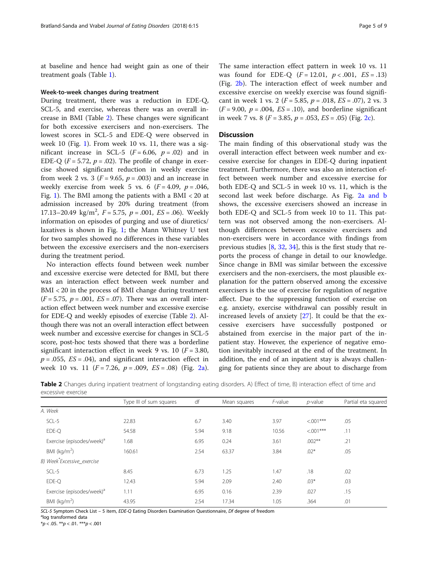at baseline and hence had weight gain as one of their treatment goals (Table [1](#page-3-0)).

### Week-to-week changes during treatment

During treatment, there was a reduction in EDE-Q, SCL-5, and exercise, whereas there was an overall increase in BMI (Table 2). These changes were significant for both excessive exercisers and non-exercisers. The lowest scores in SCL-5 and EDE-Q were observed in week 10 (Fig. [1](#page-5-0)). From week 10 vs. 11, there was a significant increase in SCL-5 ( $F = 6.06$ ,  $p = .02$ ) and in EDE-Q ( $F = 5.72$ ,  $p = .02$ ). The profile of change in exercise showed significant reduction in weekly exercise from week 2 vs. 3 ( $F = 9.65$ ,  $p = .003$ ) and an increase in weekly exercise from week 5 vs. 6  $(F = 4.09, p = .046,$ Fig. [1](#page-5-0)). The BMI among the patients with a BMI < 20 at admission increased by 20% during treatment (from 17.13–20.49 kg/m<sup>2</sup>,  $F = 5.75$ ,  $p = .001$ ,  $ES = .06$ ). Weekly information on episodes of purging and use of diuretics/ laxatives is shown in Fig. [1;](#page-5-0) the Mann Whitney U test for two samples showed no differences in these variables between the excessive exercisers and the non-exercisers during the treatment period.

No interaction effects found between week number and excessive exercise were detected for BMI, but there was an interaction effect between week number and BMI < 20 in the process of BMI change during treatment  $(F = 5.75, p = .001, ES = .07)$ . There was an overall interaction effect between week number and excessive exercise for EDE-Q and weekly episodes of exercise (Table 2). Although there was not an overall interaction effect between week number and excessive exercise for changes in SCL-5 score, post-hoc tests showed that there was a borderline significant interaction effect in week 9 vs. 10 ( $F = 3.80$ ),  $p = .055$ ,  $ES = .04$ ), and significant interaction effect in week 10 vs. 11 ( $F = 7.26$ ,  $p = .009$ ,  $ES = .08$ ) (Fig. [2a](#page-6-0)).

The same interaction effect pattern in week 10 vs. 11 was found for EDE-Q  $(F = 12.01, p < .001, ES = .13)$ (Fig. [2b\)](#page-6-0). The interaction effect of week number and excessive exercise on weekly exercise was found significant in week 1 vs. 2 ( $F = 5.85$ ,  $p = .018$ ,  $ES = .07$ ), 2 vs. 3  $(F = 9.00, p = .004, ES = .10)$ , and borderline significant in week 7 vs. 8 ( $F = 3.85$ ,  $p = .053$ ,  $ES = .05$ ) (Fig. [2c\)](#page-6-0).

# **Discussion**

The main finding of this observational study was the overall interaction effect between week number and excessive exercise for changes in EDE-Q during inpatient treatment. Furthermore, there was also an interaction effect between week number and excessive exercise for both EDE-Q and SCL-5 in week 10 vs. 11, which is the second last week before discharge. As Fig. [2a and b](#page-6-0) shows, the excessive exercisers showed an increase in both EDE-Q and SCL-5 from week 10 to 11. This pattern was not observed among the non-exercisers. Although differences between excessive exercisers and non-exercisers were in accordance with findings from previous studies  $[8, 32, 34]$  $[8, 32, 34]$  $[8, 32, 34]$  $[8, 32, 34]$  $[8, 32, 34]$  $[8, 32, 34]$ , this is the first study that reports the process of change in detail to our knowledge. Since change in BMI was similar between the excessive exercisers and the non-exercisers, the most plausible explanation for the pattern observed among the excessive exercisers is the use of exercise for regulation of negative affect. Due to the suppressing function of exercise on e.g. anxiety, exercise withdrawal can possibly result in increased levels of anxiety [[27](#page-8-0)]. It could be that the excessive exercisers have successfully postponed or abstained from exercise in the major part of the inpatient stay. However, the experience of negative emotion inevitably increased at the end of the treatment. In addition, the end of an inpatient stay is always challenging for patients since they are about to discharge from

|                                       | Type III of sum squares | df   | Mean squares | F-value | $p$ -value  | Partial eta squared |  |  |  |
|---------------------------------------|-------------------------|------|--------------|---------|-------------|---------------------|--|--|--|
| A. Week                               |                         |      |              |         |             |                     |  |  |  |
| SCL-5                                 | 22.83                   | 6.7  | 3.40         | 3.97    | $< 0.01***$ | .05                 |  |  |  |
| EDE-Q                                 | 54.58                   | 5.94 | 9.18         | 10.56   | $< 0.01***$ | .11                 |  |  |  |
| Exercise (episodes/week) <sup>a</sup> | 1.68                    | 6.95 | 0.24         | 3.61    | $.002**$    | .21                 |  |  |  |
| BMI ( $kg/m2$ )                       | 160.61                  | 2.54 | 63.37        | 3.84    | $.02*$      | .05                 |  |  |  |
| B) Week*Excessive_exercise            |                         |      |              |         |             |                     |  |  |  |
| SCL-5                                 | 8.45                    | 6.73 | 1.25         | 1.47    | .18         | .02                 |  |  |  |
| EDE-Q                                 | 12.43                   | 5.94 | 2.09         | 2.40    | $.03*$      | .03                 |  |  |  |
| Exercise (episodes/week) <sup>a</sup> | 1.11                    | 6.95 | 0.16         | 2.39    | .027        | .15                 |  |  |  |
| BMI ( $kg/m2$ )                       | 43.95                   | 2.54 | 17.34        | 1.05    | .364        | .01                 |  |  |  |

Table 2 Changes during inpatient treatment of longstanding eating disorders. A) Effect of time, B) interaction effect of time and excessive exercise

SCL-5 Symptom Check List - 5 item, EDE-Q Eating Disorders Examination Questionnaire, Df degree of freedom

log transformed data

 $*p < .05.$  \*\* $p < .01.$  \*\*\* $p < .001$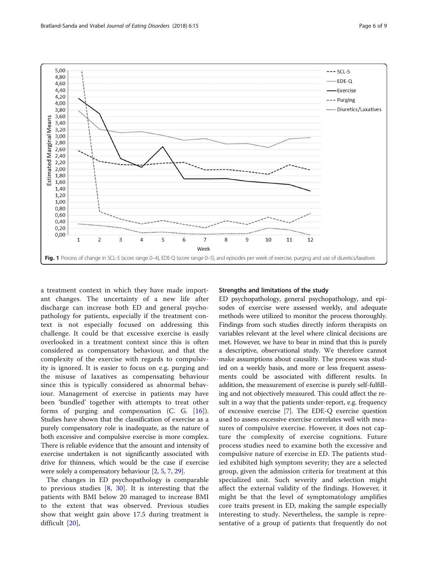<span id="page-5-0"></span>

a treatment context in which they have made important changes. The uncertainty of a new life after discharge can increase both ED and general psychopathology for patients, especially if the treatment context is not especially focused on addressing this challenge. It could be that excessive exercise is easily overlooked in a treatment context since this is often considered as compensatory behaviour, and that the complexity of the exercise with regards to compulsivity is ignored. It is easier to focus on e.g. purging and the misuse of laxatives as compensating behaviour since this is typically considered as abnormal behaviour. Management of exercise in patients may have been 'bundled' together with attempts to treat other forms of purging and compensation (C. G. [[16\]](#page-8-0)). Studies have shown that the classification of exercise as a purely compensatory role is inadequate, as the nature of both excessive and compulsive exercise is more complex. There is reliable evidence that the amount and intensity of exercise undertaken is not significantly associated with drive for thinness, which would be the case if exercise were solely a compensatory behaviour [\[2](#page-7-0), [5,](#page-7-0) [7](#page-7-0), [29](#page-8-0)].

The changes in ED psychopathology is comparable to previous studies [[8,](#page-7-0) [30](#page-8-0)]. It is interesting that the patients with BMI below 20 managed to increase BMI to the extent that was observed. Previous studies show that weight gain above 17.5 during treatment is difficult [\[20](#page-8-0)],

### Strengths and limitations of the study

ED psychopathology, general psychopathology, and episodes of exercise were assessed weekly, and adequate methods were utilized to monitor the process thoroughly. Findings from such studies directly inform therapists on variables relevant at the level where clinical decisions are met. However, we have to bear in mind that this is purely a descriptive, observational study. We therefore cannot make assumptions about causality. The process was studied on a weekly basis, and more or less frequent assessments could be associated with different results. In addition, the measurement of exercise is purely self-fulfilling and not objectively measured. This could affect the result in a way that the patients under-report, e.g. frequency of excessive exercise [\[7\]](#page-7-0). The EDE-Q exercise question used to assess excessive exercise correlates well with measures of compulsive exercise. However, it does not capture the complexity of exercise cognitions. Future process studies need to examine both the excessive and compulsive nature of exercise in ED. The patients studied exhibited high symptom severity; they are a selected group, given the admission criteria for treatment at this specialized unit. Such severity and selection might affect the external validity of the findings. However, it might be that the level of symptomatology amplifies core traits present in ED, making the sample especially interesting to study. Nevertheless, the sample is representative of a group of patients that frequently do not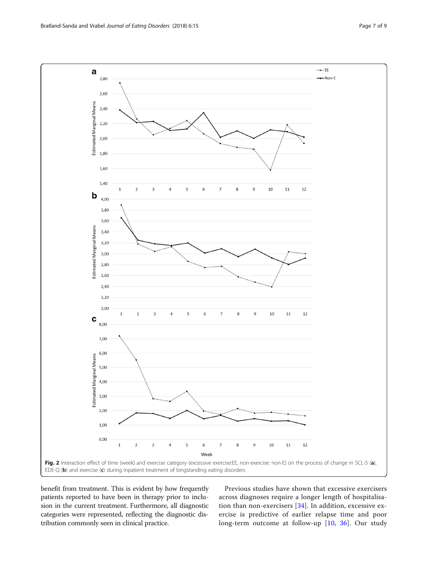<span id="page-6-0"></span>

benefit from treatment. This is evident by how frequently patients reported to have been in therapy prior to inclusion in the current treatment. Furthermore, all diagnostic categories were represented, reflecting the diagnostic distribution commonly seen in clinical practice.

Previous studies have shown that excessive exercisers across diagnoses require a longer length of hospitalisation than non-exercisers [[34](#page-8-0)]. In addition, excessive exercise is predictive of earlier relapse time and poor long-term outcome at follow-up [[10,](#page-7-0) [36](#page-8-0)]. Our study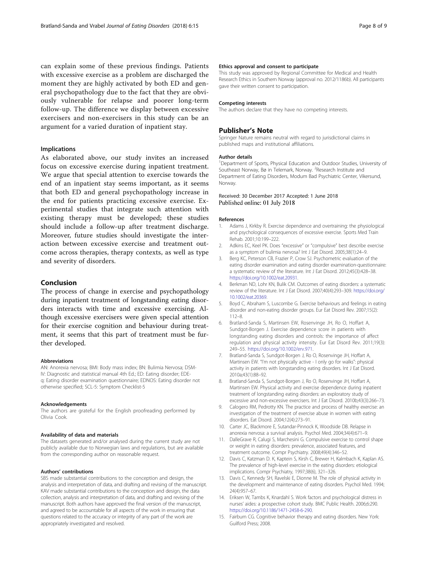<span id="page-7-0"></span>can explain some of these previous findings. Patients with excessive exercise as a problem are discharged the moment they are highly activated by both ED and general psychopathology due to the fact that they are obviously vulnerable for relapse and poorer long-term follow-up. The difference we display between excessive exercisers and non-exercisers in this study can be an argument for a varied duration of inpatient stay.

# Implications

As elaborated above, our study invites an increased focus on excessive exercise during inpatient treatment. We argue that special attention to exercise towards the end of an inpatient stay seems important, as it seems that both ED and general psychopathology increase in the end for patients practicing excessive exercise. Experimental studies that integrate such attention with existing therapy must be developed; these studies should include a follow-up after treatment discharge. Moreover, future studies should investigate the interaction between excessive exercise and treatment outcome across therapies, therapy contexts, as well as type and severity of disorders.

# Conclusion

The process of change in exercise and psychopathology during inpatient treatment of longstanding eating disorders interacts with time and excessive exercising. Although excessive exercisers were given special attention for their exercise cognition and behaviour during treatment, it seems that this part of treatment must be further developed.

### Abbreviations

AN: Anorexia nervosa; BMI: Body mass index; BN: Bulimia Nervosa; DSM-IV: Diagnostic and statistical manual 4th Ed.; ED: Eating disorder; EDEq: Eating disorder examination questionnaire; EDNOS: Eating disorder not otherwise specified; SCL-5: Symptom Checklist-5

#### Acknowledgements

The authors are grateful for the English proofreading performed by Olivia Cook.

### Availability of data and materials

The datasets generated and/or analysed during the current study are not publicly available due to Norwegian laws and regulations, but are available from the corresponding author on reasonable request.

# Authors' contributions

SBS made substantial contributions to the conception and design, the analysis and interpretation of data, and drafting and revising of the manuscript. KAV made substantial contributions to the conception and design, the data collection, analysis and interpretation of data, and drafting and revising of the manuscript. Both authors have approved the final version of the manuscript, and agreed to be accountable for all aspects of the work in ensuring that questions related to the accuracy or integrity of any part of the work are appropriately investigated and resolved.

### Ethics approval and consent to participate

This study was approved by Regional Committee for Medical and Health Research Ethics in Southern Norway (approval no. 2012/1186b). All participants gave their written consent to participation.

#### Competing interests

The authors declare that they have no competing interests.

# Publisher's Note

Springer Nature remains neutral with regard to jurisdictional claims in published maps and institutional affiliations.

### Author details

<sup>1</sup>Department of Sports, Physical Education and Outdoor Studies, University of Southeast Norway, Bø in Telemark, Norway. <sup>2</sup>Research Institute and Department of Eating Disorders, Modum Bad Psychiatric Center, Vikersund, Norway.

# Received: 30 December 2017 Accepted: 1 June 2018 Published online: 01 July 2018

#### References

- Adams J, Kirkby R. Exercise dependence and overtraining: the physiological and psychological consequences of excessive exercise. Sports Med Train Rehab. 2001;10:199–222.
- 2. Adkins EC, Keel PK. Does "excessive" or "compulsive" best describe exercise as a symptom of bulimia nervosa? Int J Eat Disord. 2005;38(1):24–9.
- 3. Berg KC, Peterson CB, Frazier P, Crow SJ. Psychometric evaluation of the eating disorder examination and eating disorder examination-questionnaire: a systematic review of the literature. Int J Eat Disord. 2012;45(3):428–38. [https://doi.org/10.1002/eat.20931.](https://doi.org/10.1002/eat.20931)
- 4. Berkman ND, Lohr KN, Bulik CM. Outcomes of eating disorders: a systematic review of the literature. Int J Eat Disord. 2007;40(4):293–309. [https://doi.org/](https://doi.org/10.1002/eat.20369) [10.1002/eat.20369.](https://doi.org/10.1002/eat.20369)
- 5. Boyd C, Abraham S, Luscombe G. Exercise behaviours and feelings in eating disorder and non-eating disorder groups. Eur Eat Disord Rev. 2007;15(2): 112–8.
- 6. Bratland-Sanda S, Martinsen EW, Rosenvinge JH, Ro O, Hoffart A, Sundgot-Borgen J. Exercise dependence score in patients with longstanding eating disorders and controls: the importance of affect regulation and physical activity intensity. Eur Eat Disord Rev. 2011;19(3): 249–55. <https://doi.org/10.1002/erv.971>.
- 7. Bratland-Sanda S, Sundgot-Borgen J, Ro O, Rosenvinge JH, Hoffart A, Martinsen EW. "I'm not physically active - I only go for walks": physical activity in patients with longstanding eating disorders. Int J Eat Disord. 2010a;43(1):88–92.
- 8. Bratland-Sanda S, Sundgot-Borgen J, Ro O, Rosenvinge JH, Hoffart A, Martinsen EW. Physical activity and exercise dependence during inpatient treatment of longstanding eating disorders: an exploratory study of excessive and non-excessive exercisers. Int J Eat Disord. 2010b;43(3):266–73.
- 9. Calogero RM, Pedrotty KN. The practice and process of healthy exercise: an investigation of the treatment of exercise abuse in women with eating disorders. Eat Disord. 2004;12(4):273–91.
- 10. Carter JC, Blackmore E, Sutandar-Pinnock K, Woodside DB. Relapse in anorexia nervosa: a survival analysis. Psychol Med. 2004;34(4):671–9.
- 11. DalleGrave R, Calugi S, Marchesini G. Compulsive exercise to control shape or weight in eating disorders: prevalence, associated features, and treatment outcome. Compr Psychiatry. 2008;49(4):346–52.
- 12. Davis C, Katzman D. K, Kaptein S, Kirsh C, Brewer H, Kalmbach K, Kaplan AS. The prevalence of high-level exercise in the eating disorders: etiological implications. Compr Psychiatry, 1997;38(6), 321–326.
- 13. Davis C, Kennedy SH, Ravelski E, Dionne M. The role of physical activity in the development and maintenance of eating disorders. Psychol Med. 1994; 24(4):957–67.
- 14. Eriksen W, Tambs K, Knardahl S. Work factors and psychological distress in nurses' aides: a prospective cohort study. BMC Public Health. 2006;6:290. <https://doi.org/10.1186/1471-2458-6-290>.
- 15. Fairburn CG. Cognitive behavior therapy and eating disorders. New York: Guilford Press; 2008.